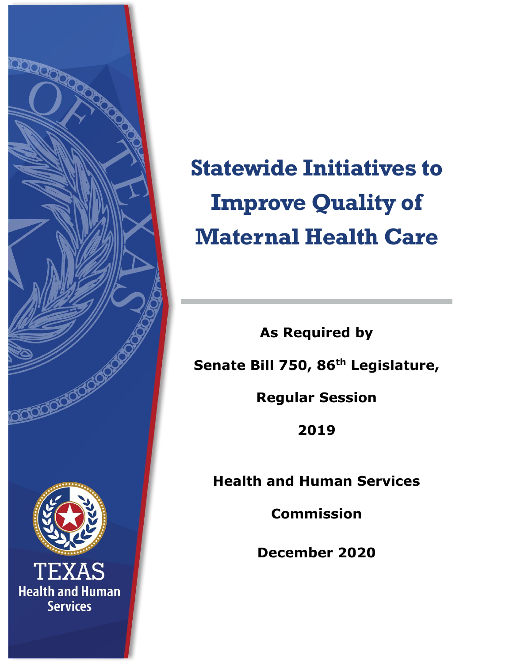

# **Statewide Initiatives to Improve Quality of Maternal Health Care**

**As Required by Senate Bill 750, 86th Legislature,** 

**Regular Session** 

**2019**

**Health and Human Services** 

**Commission**

**December 2020**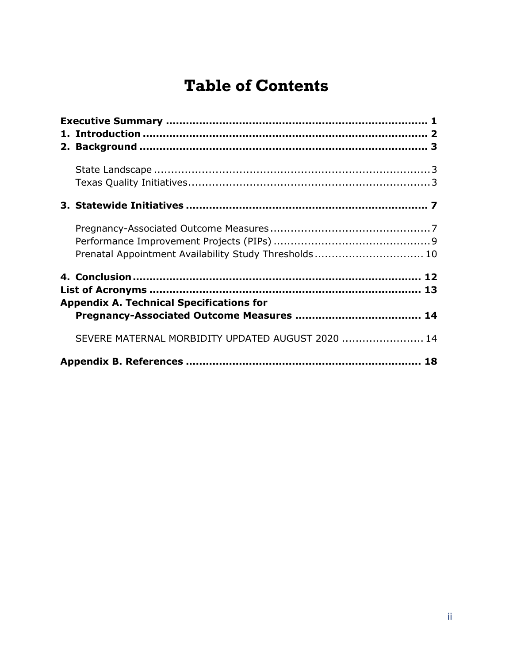# **Table of Contents**

| Prenatal Appointment Availability Study Thresholds 10 |  |
|-------------------------------------------------------|--|
|                                                       |  |
| <b>Appendix A. Technical Specifications for</b>       |  |
| SEVERE MATERNAL MORBIDITY UPDATED AUGUST 2020  14     |  |
|                                                       |  |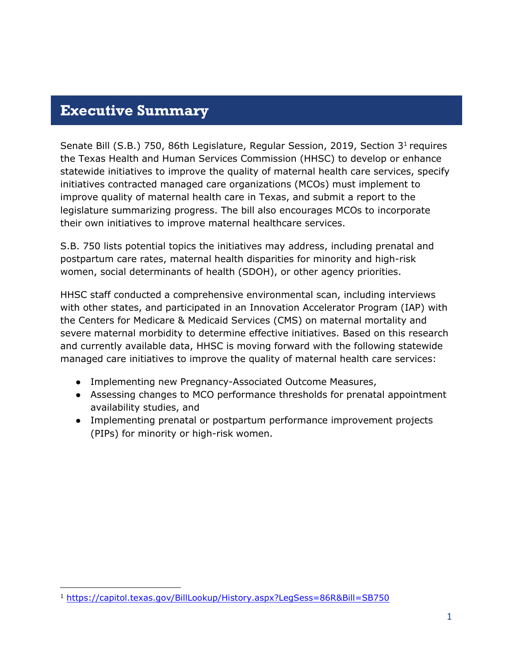### <span id="page-2-0"></span>**Executive Summary**

Senate Bill (S.B.) 750, 86th Legislature, Regular Session, 2019, Section 3<sup>1</sup> requires the Texas Health and Human Services Commission (HHSC) to develop or enhance statewide initiatives to improve the quality of maternal health care services, specify initiatives contracted managed care organizations (MCOs) must implement to improve quality of maternal health care in Texas, and submit a report to the legislature summarizing progress. The bill also encourages MCOs to incorporate their own initiatives to improve maternal healthcare services.

S.B. 750 lists potential topics the initiatives may address, including prenatal and postpartum care rates, maternal health disparities for minority and high-risk women, social determinants of health (SDOH), or other agency priorities.

HHSC staff conducted a comprehensive environmental scan, including interviews with other states, and participated in an Innovation Accelerator Program (IAP) with the Centers for Medicare & Medicaid Services (CMS) on maternal mortality and severe maternal morbidity to determine effective initiatives. Based on this research and currently available data, HHSC is moving forward with the following statewide managed care initiatives to improve the quality of maternal health care services:

- Implementing new Pregnancy-Associated Outcome Measures,
- Assessing changes to MCO performance thresholds for prenatal appointment availability studies, and
- Implementing prenatal or postpartum performance improvement projects (PIPs) for minority or high-risk women.

<sup>1</sup> <https://capitol.texas.gov/BillLookup/History.aspx?LegSess=86R&Bill=SB750>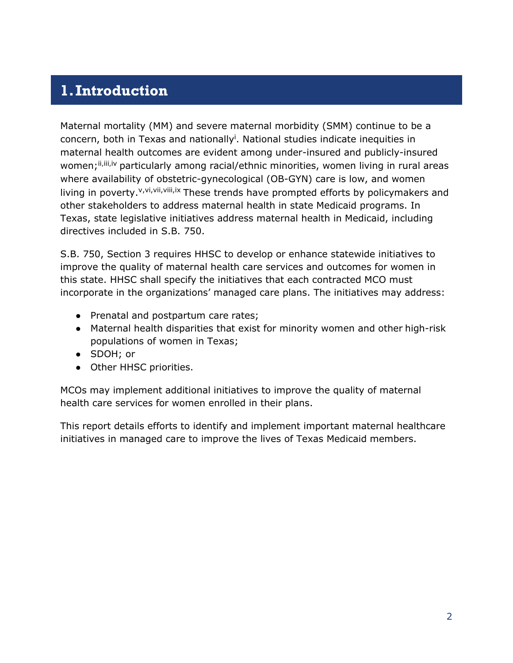## <span id="page-3-0"></span>**1.Introduction**

Maternal mortality (MM) and severe maternal morbidity (SMM) continue to be a concern, both in Texas and nationally<sup>i</sup>. National studies indicate inequities in maternal health outcomes are evident among under-insured and publicly-insured women; ii, iii, iv particularly among racial/ethnic minorities, women living in rural areas where availability of obstetric-gynecological (OB-GYN) care is low, and women living in poverty.  $v,v_i,v_i,v_i,v_i}$  These trends have prompted efforts by policymakers and other stakeholders to address maternal health in state Medicaid programs. In Texas, state legislative initiatives address maternal health in Medicaid, including directives included in S.B. 750.

S.B. 750, Section 3 requires HHSC to develop or enhance statewide initiatives to improve the quality of maternal health care services and outcomes for women in this state. HHSC shall specify the initiatives that each contracted MCO must incorporate in the organizations' managed care plans. The initiatives may address:

- Prenatal and postpartum care rates;
- Maternal health disparities that exist for minority women and other high-risk populations of women in Texas;
- SDOH; or
- Other HHSC priorities.

MCOs may implement additional initiatives to improve the quality of maternal health care services for women enrolled in their plans.

This report details efforts to identify and implement important maternal healthcare initiatives in managed care to improve the lives of Texas Medicaid members.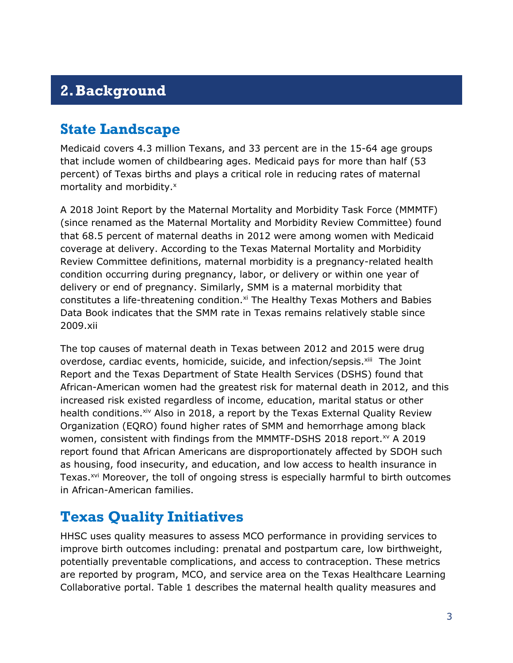# <span id="page-4-0"></span>**2.Background**

## <span id="page-4-1"></span>**State Landscape**

Medicaid covers 4.3 million Texans, and 33 percent are in the 15-64 age groups that include women of childbearing ages. Medicaid pays for more than half (53 percent) of Texas births and plays a critical role in reducing rates of maternal mortality and morbidity.<sup>x</sup>

A 2018 Joint Report by the Maternal Mortality and Morbidity Task Force (MMMTF) (since renamed as the Maternal Mortality and Morbidity Review Committee) found that 68.5 percent of maternal deaths in 2012 were among women with Medicaid coverage at delivery. According to the Texas Maternal Mortality and Morbidity Review Committee definitions, maternal morbidity is a pregnancy-related health condition occurring during pregnancy, labor, or delivery or within one year of delivery or end of pregnancy. Similarly, SMM is a maternal morbidity that constitutes a life-threatening condition.<sup>xi</sup> The Healthy Texas Mothers and Babies Data Book indicates that the SMM rate in Texas remains relatively stable since 2009.xii

The top causes of maternal death in Texas between 2012 and 2015 were drug overdose, cardiac events, homicide, suicide, and infection/sepsis.<sup>xiii</sup> The Joint Report and the Texas Department of State Health Services (DSHS) found that African-American women had the greatest risk for maternal death in 2012, and this increased risk existed regardless of income, education, marital status or other health conditions. Xiv Also in 2018, a report by the Texas External Quality Review Organization (EQRO) found higher rates of SMM and hemorrhage among black women, consistent with findings from the MMMTF-DSHS 2018 report.<sup>xv</sup> A 2019 report found that African Americans are disproportionately affected by SDOH such as housing, food insecurity, and education, and low access to health insurance in Texas.<sup>xvi</sup> Moreover, the toll of ongoing stress is especially harmful to birth outcomes in African-American families.

## <span id="page-4-2"></span>**Texas Quality Initiatives**

HHSC uses quality measures to assess MCO performance in providing services to improve birth outcomes including: prenatal and postpartum care, low birthweight, potentially preventable complications, and access to contraception. These metrics are reported by program, MCO, and service area on the Texas Healthcare Learning Collaborative portal. Table 1 describes the maternal health quality measures and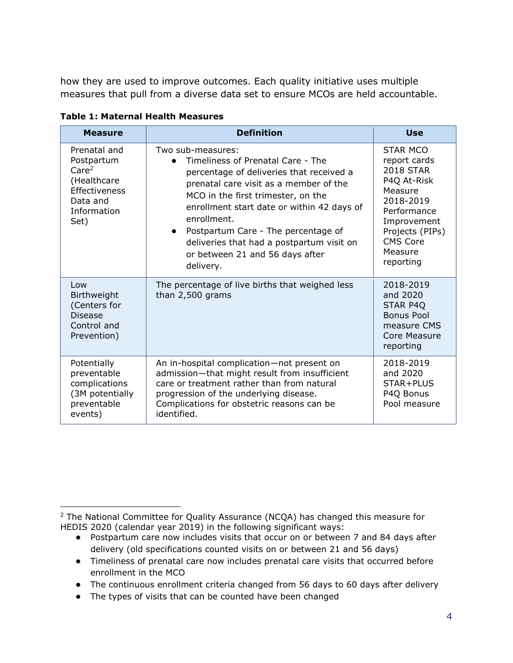how they are used to improve outcomes. Each quality initiative uses multiple measures that pull from a diverse data set to ensure MCOs are held accountable.

| <b>Measure</b>                                                                                                            | <b>Definition</b>                                                                                                                                                                                                                                                                                                                                                                                | <b>Use</b>                                                                                                                                                                      |
|---------------------------------------------------------------------------------------------------------------------------|--------------------------------------------------------------------------------------------------------------------------------------------------------------------------------------------------------------------------------------------------------------------------------------------------------------------------------------------------------------------------------------------------|---------------------------------------------------------------------------------------------------------------------------------------------------------------------------------|
| Prenatal and<br>Postpartum<br>Care <sup>2</sup><br>(Healthcare<br><b>Effectiveness</b><br>Data and<br>Information<br>Set) | Two sub-measures:<br>Timeliness of Prenatal Care - The<br>percentage of deliveries that received a<br>prenatal care visit as a member of the<br>MCO in the first trimester, on the<br>enrollment start date or within 42 days of<br>enrollment.<br>Postpartum Care - The percentage of<br>$\bullet$<br>deliveries that had a postpartum visit on<br>or between 21 and 56 days after<br>delivery. | STAR MCO<br>report cards<br><b>2018 STAR</b><br>P4Q At-Risk<br>Measure<br>2018-2019<br>Performance<br>Improvement<br>Projects (PIPs)<br><b>CMS Core</b><br>Measure<br>reporting |
| Low<br>Birthweight<br>(Centers for<br><b>Disease</b><br>Control and<br>Prevention)                                        | The percentage of live births that weighed less<br>than 2,500 grams                                                                                                                                                                                                                                                                                                                              | 2018-2019<br>and 2020<br>STAR P4Q<br>Bonus Pool<br>measure CMS<br>Core Measure<br>reporting                                                                                     |
| Potentially<br>preventable<br>complications<br>(3M potentially<br>preventable<br>events)                                  | An in-hospital complication-not present on<br>admission-that might result from insufficient<br>care or treatment rather than from natural<br>progression of the underlying disease.<br>Complications for obstetric reasons can be<br>identified.                                                                                                                                                 | 2018-2019<br>and 2020<br>STAR+PLUS<br>P4Q Bonus<br>Pool measure                                                                                                                 |

| <b>Table 1: Maternal Health Measures</b> |  |  |  |  |  |
|------------------------------------------|--|--|--|--|--|
|------------------------------------------|--|--|--|--|--|

- Timeliness of prenatal care now includes prenatal care visits that occurred before enrollment in the MCO
- The continuous enrollment criteria changed from 56 days to 60 days after delivery

 $2$  The National Committee for Quality Assurance (NCQA) has changed this measure for HEDIS 2020 (calendar year 2019) in the following significant ways:

<sup>●</sup> Postpartum care now includes visits that occur on or between 7 and 84 days after delivery (old specifications counted visits on or between 21 and 56 days)

<sup>●</sup> The types of visits that can be counted have been changed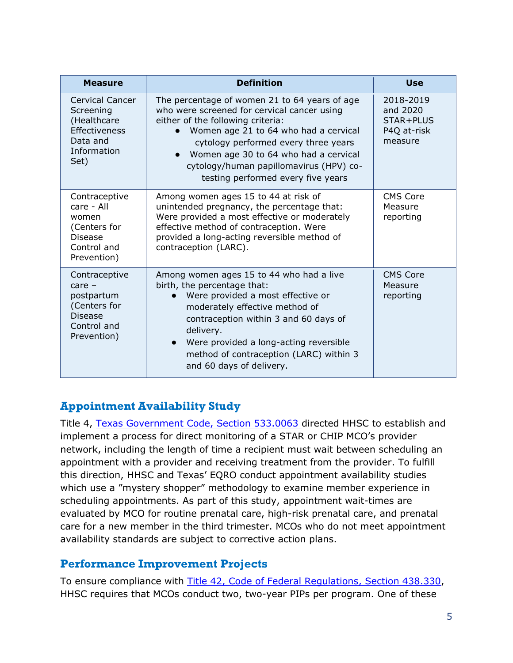| <b>Measure</b>                                                                                          | <b>Definition</b>                                                                                                                                                                                                                                                                                                                            | <b>Use</b>                                                   |
|---------------------------------------------------------------------------------------------------------|----------------------------------------------------------------------------------------------------------------------------------------------------------------------------------------------------------------------------------------------------------------------------------------------------------------------------------------------|--------------------------------------------------------------|
| Cervical Cancer<br>Screening<br>(Healthcare<br><b>Effectiveness</b><br>Data and<br>Information<br>Set)  | The percentage of women 21 to 64 years of age<br>who were screened for cervical cancer using<br>either of the following criteria:<br>Women age 21 to 64 who had a cervical<br>cytology performed every three years<br>Women age 30 to 64 who had a cervical<br>cytology/human papillomavirus (HPV) co-<br>testing performed every five years | 2018-2019<br>and 2020<br>STAR+PLUS<br>P4Q at-risk<br>measure |
| Contraceptive<br>care - All<br>women<br>(Centers for<br><b>Disease</b><br>Control and<br>Prevention)    | Among women ages 15 to 44 at risk of<br>unintended pregnancy, the percentage that:<br>Were provided a most effective or moderately<br>effective method of contraception. Were<br>provided a long-acting reversible method of<br>contraception (LARC).                                                                                        | <b>CMS Core</b><br>Measure<br>reporting                      |
| Contraceptive<br>$care -$<br>postpartum<br>(Centers for<br><b>Disease</b><br>Control and<br>Prevention) | Among women ages 15 to 44 who had a live<br>birth, the percentage that:<br>Were provided a most effective or<br>moderately effective method of<br>contraception within 3 and 60 days of<br>delivery.<br>Were provided a long-acting reversible<br>$\bullet$<br>method of contraception (LARC) within 3<br>and 60 days of delivery.           | <b>CMS Core</b><br>Measure<br>reporting                      |

#### **Appointment Availability Study**

Title 4, [Texas Government Code, Section 533.0063](https://statutes.capitol.texas.gov/Docs/GV/htm/GV.533.htm#533.0063) directed HHSC to establish and implement a process for direct monitoring of a STAR or CHIP MCO's provider network, including the length of time a recipient must wait between scheduling an appointment with a provider and receiving treatment from the provider. To fulfill this direction, HHSC and Texas' EQRO conduct appointment availability studies which use a "mystery shopper" methodology to examine member experience in scheduling appointments. As part of this study, appointment wait-times are evaluated by MCO for routine prenatal care, high-risk prenatal care, and prenatal care for a new member in the third trimester. MCOs who do not meet appointment availability standards are subject to corrective action plans.

#### **Performance Improvement Projects**

To ensure compliance with [Title 42, Code of Federal Regulations, Section 438.330,](https://www.ecfr.gov/cgi-bin/text-idx?SID=ab6d3192f55fa6d1592d442c57276d4e&mc=true&node=se42.4.438_1330&rgn=div8) HHSC requires that MCOs conduct two, two-year PIPs per program. One of these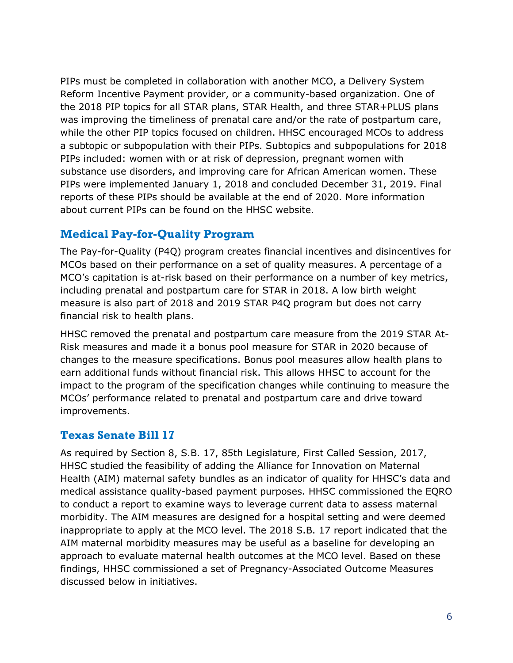PIPs must be completed in collaboration with another MCO, a Delivery System Reform Incentive Payment provider, or a community-based organization. One of the 2018 PIP topics for all STAR plans, STAR Health, and three STAR+PLUS plans was improving the timeliness of prenatal care and/or the rate of postpartum care, while the other PIP topics focused on children. HHSC encouraged MCOs to address a subtopic or subpopulation with their PIPs. Subtopics and subpopulations for 2018 PIPs included: women with or at risk of depression, pregnant women with substance use disorders, and improving care for African American women. These PIPs were implemented January 1, 2018 and concluded December 31, 2019. Final reports of these PIPs should be available at the end of 2020. More information about current PIPs can be found on the HHSC website.

#### **Medical Pay-for-Quality Program**

The Pay-for-Quality (P4Q) program creates financial incentives and disincentives for MCOs based on their performance on a set of quality measures. A percentage of a MCO's capitation is at-risk based on their performance on a number of key metrics, including prenatal and postpartum care for STAR in 2018. A low birth weight measure is also part of 2018 and 2019 STAR P4Q program but does not carry financial risk to health plans.

HHSC removed the prenatal and postpartum care measure from the 2019 STAR At-Risk measures and made it a bonus pool measure for STAR in 2020 because of changes to the measure specifications. Bonus pool measures allow health plans to earn additional funds without financial risk. This allows HHSC to account for the impact to the program of the specification changes while continuing to measure the MCOs' performance related to prenatal and postpartum care and drive toward improvements.

#### **Texas Senate Bill 17**

As required by Section 8, S.B. 17, 85th Legislature, First Called Session, 2017, HHSC studied the feasibility of adding the Alliance for Innovation on Maternal Health (AIM) maternal safety bundles as an indicator of quality for HHSC's data and medical assistance quality-based payment purposes. HHSC commissioned the EQRO to conduct a report to examine ways to leverage current data to assess maternal morbidity. The AIM measures are designed for a hospital setting and were deemed inappropriate to apply at the MCO level. The 2018 S.B. 17 report indicated that the AIM maternal morbidity measures may be useful as a baseline for developing an approach to evaluate maternal health outcomes at the MCO level. Based on these findings, HHSC commissioned a set of Pregnancy-Associated Outcome Measures discussed below in initiatives.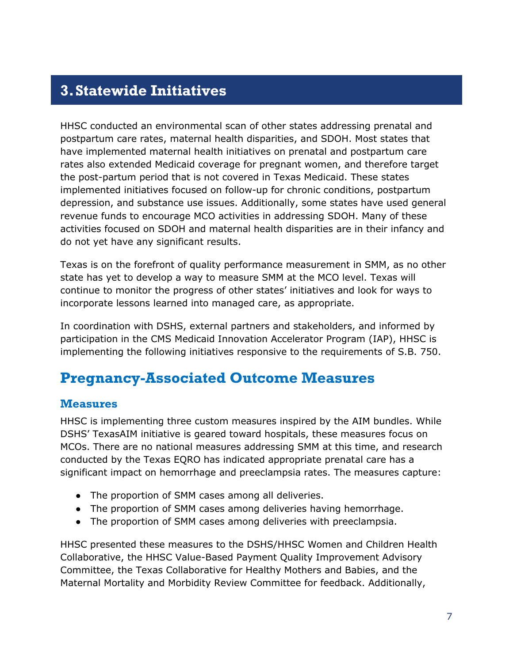## <span id="page-8-0"></span>**3.Statewide Initiatives**

HHSC conducted an environmental scan of other states addressing prenatal and postpartum care rates, maternal health disparities, and SDOH. Most states that have implemented maternal health initiatives on prenatal and postpartum care rates also extended Medicaid coverage for pregnant women, and therefore target the post-partum period that is not covered in Texas Medicaid. These states implemented initiatives focused on follow-up for chronic conditions, postpartum depression, and substance use issues. Additionally, some states have used general revenue funds to encourage MCO activities in addressing SDOH. Many of these activities focused on SDOH and maternal health disparities are in their infancy and do not yet have any significant results.

Texas is on the forefront of quality performance measurement in SMM, as no other state has yet to develop a way to measure SMM at the MCO level. Texas will continue to monitor the progress of other states' initiatives and look for ways to incorporate lessons learned into managed care, as appropriate.

In coordination with DSHS, external partners and stakeholders, and informed by participation in the CMS Medicaid Innovation Accelerator Program (IAP), HHSC is implementing the following initiatives responsive to the requirements of S.B. 750.

## <span id="page-8-1"></span>**Pregnancy-Associated Outcome Measures**

#### **Measures**

HHSC is implementing three custom measures inspired by the AIM bundles. While DSHS' TexasAIM initiative is geared toward hospitals, these measures focus on MCOs. There are no national measures addressing SMM at this time, and research conducted by the Texas EQRO has indicated appropriate prenatal care has a significant impact on hemorrhage and preeclampsia rates. The measures capture:

- The proportion of SMM cases among all deliveries.
- The proportion of SMM cases among deliveries having hemorrhage.
- The proportion of SMM cases among deliveries with preeclampsia.

HHSC presented these measures to the DSHS/HHSC Women and Children Health Collaborative, the HHSC Value-Based Payment Quality Improvement Advisory Committee, the Texas Collaborative for Healthy Mothers and Babies, and the Maternal Mortality and Morbidity Review Committee for feedback. Additionally,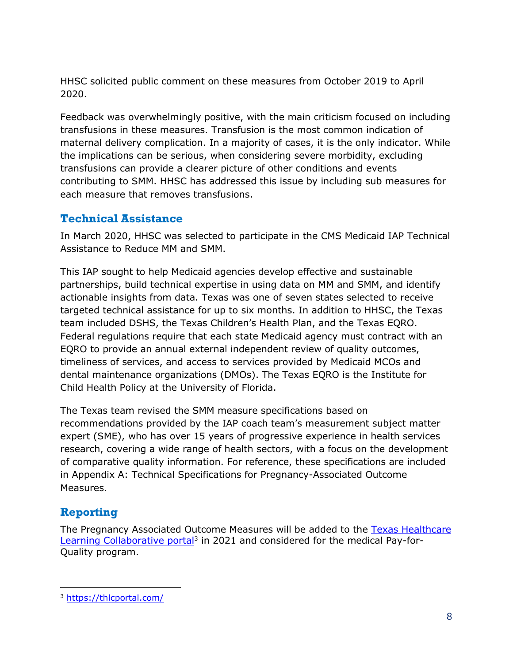HHSC solicited public comment on these measures from October 2019 to April 2020.

Feedback was overwhelmingly positive, with the main criticism focused on including transfusions in these measures. Transfusion is the most common indication of maternal delivery complication. In a majority of cases, it is the only indicator. While the implications can be serious, when considering severe morbidity, excluding transfusions can provide a clearer picture of other conditions and events contributing to SMM. HHSC has addressed this issue by including sub measures for each measure that removes transfusions.

#### **Technical Assistance**

In March 2020, HHSC was selected to participate in the CMS Medicaid IAP Technical Assistance to Reduce MM and SMM.

This IAP sought to help Medicaid agencies develop effective and sustainable partnerships, build technical expertise in using data on MM and SMM, and identify actionable insights from data. Texas was one of seven states selected to receive targeted technical assistance for up to six months. In addition to HHSC, the Texas team included DSHS, the Texas Children's Health Plan, and the Texas EQRO. Federal regulations require that each state Medicaid agency must contract with an EQRO to provide an annual external independent review of quality outcomes, timeliness of services, and access to services provided by Medicaid MCOs and dental maintenance organizations (DMOs). The Texas EQRO is the Institute for Child Health Policy at the University of Florida.

The Texas team revised the SMM measure specifications based on recommendations provided by the IAP coach team's measurement subject matter expert (SME), who has over 15 years of progressive experience in health services research, covering a wide range of health sectors, with a focus on the development of comparative quality information. For reference, these specifications are included in Appendix A: Technical Specifications for Pregnancy-Associated Outcome Measures.

#### **Reporting**

The Pregnancy Associated Outcome Measures will be added to the [Texas Healthcare](https://thlcportal.com/) [Learning Collaborative portal](https://thlcportal.com/)<sup>3</sup> in 2021 and considered for the medical Pay-for-Quality program.

<sup>3</sup> <https://thlcportal.com/>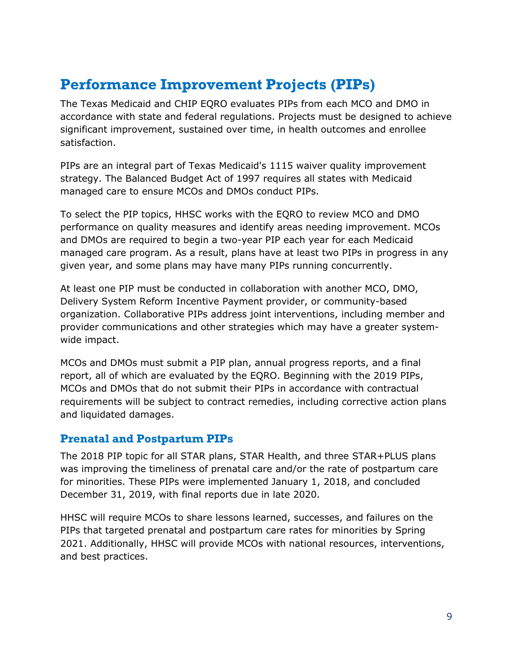## <span id="page-10-0"></span>**Performance Improvement Projects (PIPs)**

The Texas Medicaid and CHIP EQRO evaluates PIPs from each MCO and DMO in accordance with state and federal regulations. Projects must be designed to achieve significant improvement, sustained over time, in health outcomes and enrollee satisfaction.

PIPs are an integral part of Texas Medicaid's 1115 waiver quality improvement strategy. The Balanced Budget Act of 1997 requires all states with Medicaid managed care to ensure MCOs and DMOs conduct PIPs.

To select the PIP topics, HHSC works with the EQRO to review MCO and DMO performance on quality measures and identify areas needing improvement. MCOs and DMOs are required to begin a two-year PIP each year for each Medicaid managed care program. As a result, plans have at least two PIPs in progress in any given year, and some plans may have many PIPs running concurrently.

At least one PIP must be conducted in collaboration with another MCO, DMO, Delivery System Reform Incentive Payment provider, or community-based organization. Collaborative PIPs address joint interventions, including member and provider communications and other strategies which may have a greater systemwide impact.

MCOs and DMOs must submit a PIP plan, annual progress reports, and a final report, all of which are evaluated by the EQRO. Beginning with the 2019 PIPs, MCOs and DMOs that do not submit their PIPs in accordance with contractual requirements will be subject to contract remedies, including corrective action plans and liquidated damages.

#### **Prenatal and Postpartum PIPs**

The 2018 PIP topic for all STAR plans, STAR Health, and three STAR+PLUS plans was improving the timeliness of prenatal care and/or the rate of postpartum care for minorities. These PIPs were implemented January 1, 2018, and concluded December 31, 2019, with final reports due in late 2020.

HHSC will require MCOs to share lessons learned, successes, and failures on the PIPs that targeted prenatal and postpartum care rates for minorities by Spring 2021. Additionally, HHSC will provide MCOs with national resources, interventions, and best practices.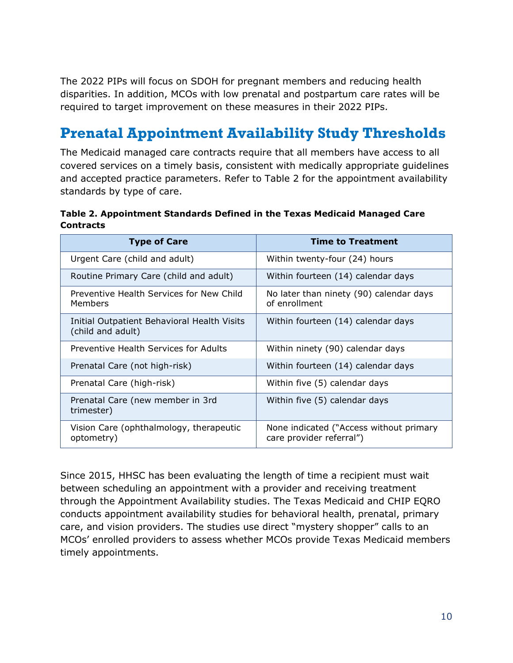The 2022 PIPs will focus on SDOH for pregnant members and reducing health disparities. In addition, MCOs with low prenatal and postpartum care rates will be required to target improvement on these measures in their 2022 PIPs.

# <span id="page-11-0"></span>**Prenatal Appointment Availability Study Thresholds**

The Medicaid managed care contracts require that all members have access to all covered services on a timely basis, consistent with medically appropriate guidelines and accepted practice parameters. Refer to Table 2 for the appointment availability standards by type of care.

**Table 2. Appointment Standards Defined in the Texas Medicaid Managed Care Contracts**

| <b>Type of Care</b>                                              | <b>Time to Treatment</b>                                            |
|------------------------------------------------------------------|---------------------------------------------------------------------|
| Urgent Care (child and adult)                                    | Within twenty-four (24) hours                                       |
| Routine Primary Care (child and adult)                           | Within fourteen (14) calendar days                                  |
| Preventive Health Services for New Child<br>Members              | No later than ninety (90) calendar days<br>of enrollment            |
| Initial Outpatient Behavioral Health Visits<br>(child and adult) | Within fourteen (14) calendar days                                  |
| Preventive Health Services for Adults                            | Within ninety (90) calendar days                                    |
| Prenatal Care (not high-risk)                                    | Within fourteen (14) calendar days                                  |
| Prenatal Care (high-risk)                                        | Within five (5) calendar days                                       |
| Prenatal Care (new member in 3rd<br>trimester)                   | Within five (5) calendar days                                       |
| Vision Care (ophthalmology, therapeutic<br>optometry)            | None indicated ("Access without primary<br>care provider referral") |

Since 2015, HHSC has been evaluating the length of time a recipient must wait between scheduling an appointment with a provider and receiving treatment through the Appointment Availability studies. The Texas Medicaid and CHIP EQRO conducts appointment availability studies for behavioral health, prenatal, primary care, and vision providers. The studies use direct "mystery shopper" calls to an MCOs' enrolled providers to assess whether MCOs provide Texas Medicaid members timely appointments.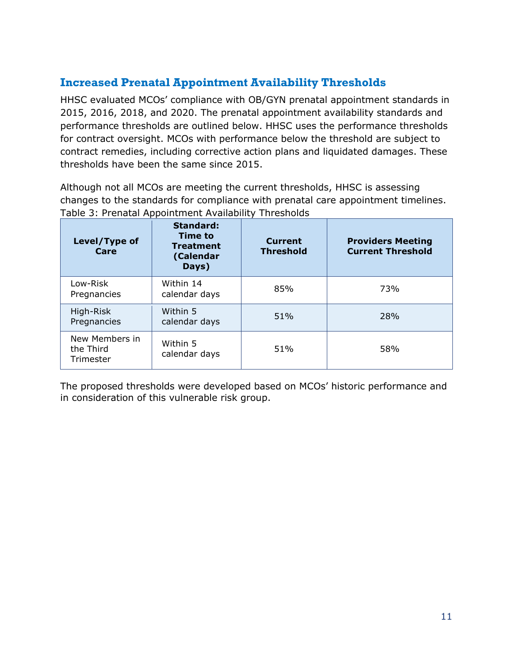#### **Increased Prenatal Appointment Availability Thresholds**

HHSC evaluated MCOs' compliance with OB/GYN prenatal appointment standards in 2015, 2016, 2018, and 2020. The prenatal appointment availability standards and performance thresholds are outlined below. HHSC uses the performance thresholds for contract oversight. MCOs with performance below the threshold are subject to contract remedies, including corrective action plans and liquidated damages. These thresholds have been the same since 2015.

Although not all MCOs are meeting the current thresholds, HHSC is assessing changes to the standards for compliance with prenatal care appointment timelines. Table 3: Prenatal Appointment Availability Thresholds

| Level/Type of<br>Care                    | <b>Standard:</b><br><b>Time to</b><br><b>Treatment</b><br>(Calendar<br>Days) | <b>Current</b><br><b>Threshold</b> | <b>Providers Meeting</b><br><b>Current Threshold</b> |
|------------------------------------------|------------------------------------------------------------------------------|------------------------------------|------------------------------------------------------|
| Low-Risk<br>Pregnancies                  | Within 14<br>calendar days                                                   | 85%                                | 73%                                                  |
| High-Risk<br>Pregnancies                 | Within 5<br>calendar days                                                    | 51%                                | 28%                                                  |
| New Members in<br>the Third<br>Trimester | Within 5<br>calendar days                                                    | 51%                                | 58%                                                  |

The proposed thresholds were developed based on MCOs' historic performance and in consideration of this vulnerable risk group.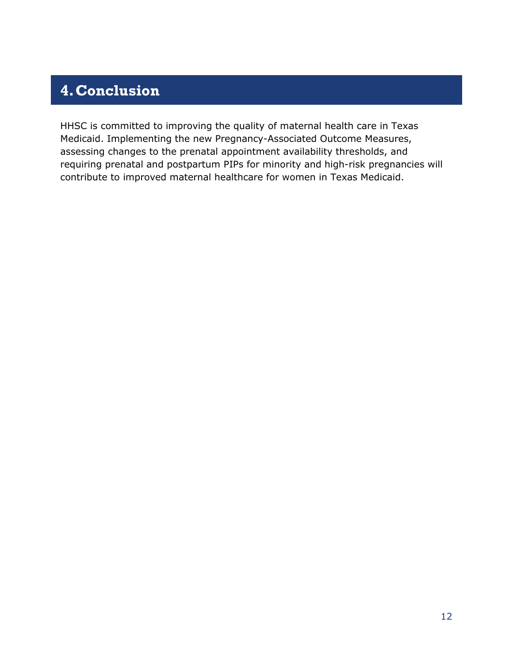# <span id="page-13-0"></span>**4.Conclusion**

HHSC is committed to improving the quality of maternal health care in Texas Medicaid. Implementing the new Pregnancy-Associated Outcome Measures, assessing changes to the prenatal appointment availability thresholds, and requiring prenatal and postpartum PIPs for minority and high-risk pregnancies will contribute to improved maternal healthcare for women in Texas Medicaid.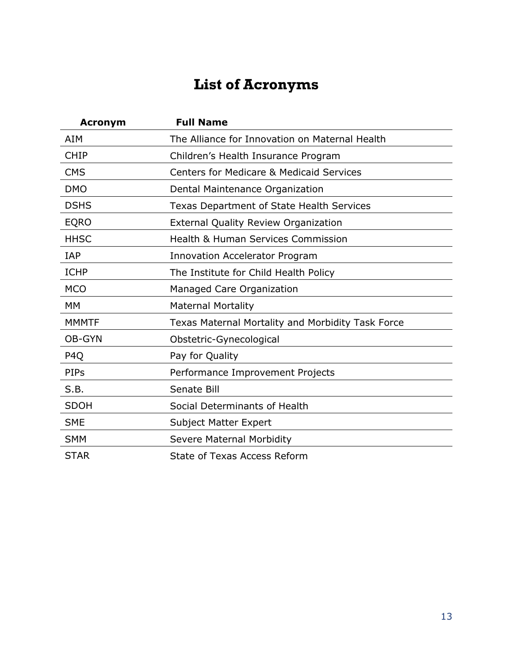# **List of Acronyms**

<span id="page-14-0"></span>

| <b>Acronym</b>   | <b>Full Name</b>                                    |
|------------------|-----------------------------------------------------|
| AIM              | The Alliance for Innovation on Maternal Health      |
| <b>CHIP</b>      | Children's Health Insurance Program                 |
| <b>CMS</b>       | <b>Centers for Medicare &amp; Medicaid Services</b> |
| <b>DMO</b>       | Dental Maintenance Organization                     |
| <b>DSHS</b>      | <b>Texas Department of State Health Services</b>    |
| <b>EQRO</b>      | <b>External Quality Review Organization</b>         |
| <b>HHSC</b>      | <b>Health &amp; Human Services Commission</b>       |
| IAP              | <b>Innovation Accelerator Program</b>               |
| <b>ICHP</b>      | The Institute for Child Health Policy               |
| <b>MCO</b>       | Managed Care Organization                           |
| MM               | <b>Maternal Mortality</b>                           |
| <b>MMMTF</b>     | Texas Maternal Mortality and Morbidity Task Force   |
| OB-GYN           | Obstetric-Gynecological                             |
| P <sub>4</sub> Q | Pay for Quality                                     |
| PIPs             | Performance Improvement Projects                    |
| S.B.             | Senate Bill                                         |
| <b>SDOH</b>      | Social Determinants of Health                       |
| <b>SME</b>       | Subject Matter Expert                               |
| <b>SMM</b>       | <b>Severe Maternal Morbidity</b>                    |
| <b>STAR</b>      | <b>State of Texas Access Reform</b>                 |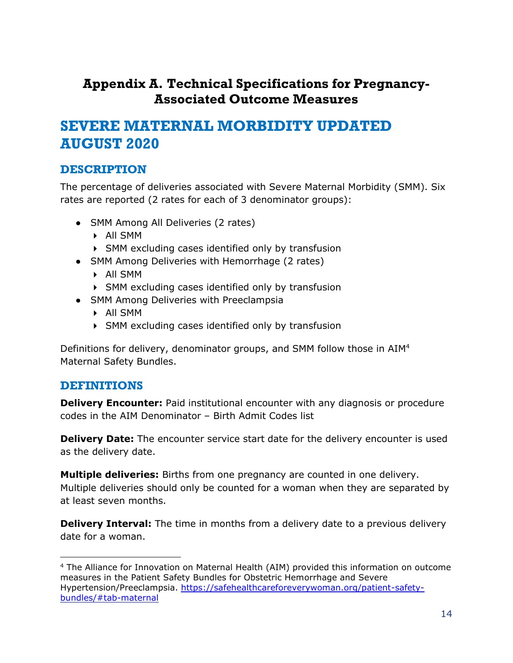## <span id="page-15-0"></span>**Appendix A. Technical Specifications for Pregnancy-Associated Outcome Measures**

## <span id="page-15-1"></span>**SEVERE MATERNAL MORBIDITY UPDATED AUGUST 2020**

#### **DESCRIPTION**

The percentage of deliveries associated with Severe Maternal Morbidity (SMM). Six rates are reported (2 rates for each of 3 denominator groups):

- SMM Among All Deliveries (2 rates)
	- All SMM
	- SMM excluding cases identified only by transfusion
- SMM Among Deliveries with Hemorrhage (2 rates)
	- All SMM
	- SMM excluding cases identified only by transfusion
- SMM Among Deliveries with Preeclampsia
	- All SMM
	- SMM excluding cases identified only by transfusion

Definitions for delivery, denominator groups, and SMM follow those in AIM<sup>4</sup> Maternal Safety Bundles.

#### **DEFINITIONS**

**Delivery Encounter:** Paid institutional encounter with any diagnosis or procedure codes in the AIM Denominator – Birth Admit Codes list

**Delivery Date:** The encounter service start date for the delivery encounter is used as the delivery date.

**Multiple deliveries:** Births from one pregnancy are counted in one delivery. Multiple deliveries should only be counted for a woman when they are separated by at least seven months.

**Delivery Interval:** The time in months from a delivery date to a previous delivery date for a woman.

<sup>4</sup> The Alliance for Innovation on Maternal Health (AIM) provided this information on outcome measures in the Patient Safety Bundles for Obstetric Hemorrhage and Severe Hypertension/Preeclampsia. [https://safehealthcareforeverywoman.org/patient-safety](https://safehealthcareforeverywoman.org/patient-safety-bundles/#tab-maternal)[bundles/#tab-maternal](https://safehealthcareforeverywoman.org/patient-safety-bundles/#tab-maternal)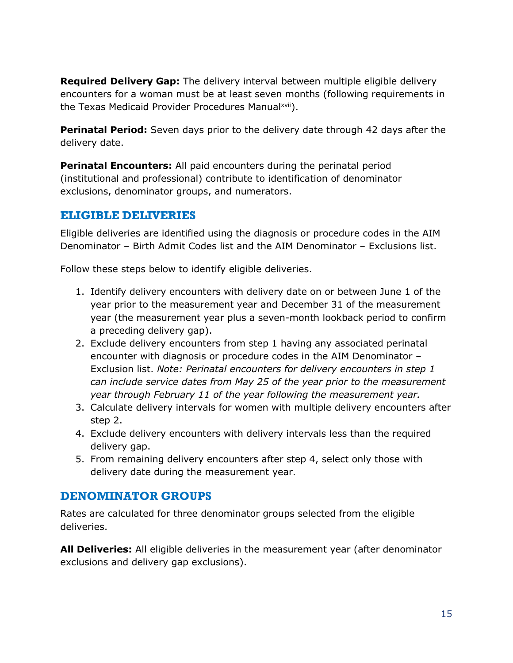**Required Delivery Gap:** The delivery interval between multiple eligible delivery encounters for a woman must be at least seven months (following requirements in the Texas Medicaid Provider Procedures Manualxvii).

**Perinatal Period:** Seven days prior to the delivery date through 42 days after the delivery date.

**Perinatal Encounters:** All paid encounters during the perinatal period (institutional and professional) contribute to identification of denominator exclusions, denominator groups, and numerators.

#### **ELIGIBLE DELIVERIES**

Eligible deliveries are identified using the diagnosis or procedure codes in the AIM Denominator – Birth Admit Codes list and the AIM Denominator – Exclusions list.

Follow these steps below to identify eligible deliveries.

- 1. Identify delivery encounters with delivery date on or between June 1 of the year prior to the measurement year and December 31 of the measurement year (the measurement year plus a seven-month lookback period to confirm a preceding delivery gap).
- 2. Exclude delivery encounters from step 1 having any associated perinatal encounter with diagnosis or procedure codes in the AIM Denominator – Exclusion list. *Note: Perinatal encounters for delivery encounters in step 1 can include service dates from May 25 of the year prior to the measurement year through February 11 of the year following the measurement year.*
- 3. Calculate delivery intervals for women with multiple delivery encounters after step 2.
- 4. Exclude delivery encounters with delivery intervals less than the required delivery gap.
- 5. From remaining delivery encounters after step 4, select only those with delivery date during the measurement year.

#### **DENOMINATOR GROUPS**

Rates are calculated for three denominator groups selected from the eligible deliveries.

**All Deliveries:** All eligible deliveries in the measurement year (after denominator exclusions and delivery gap exclusions).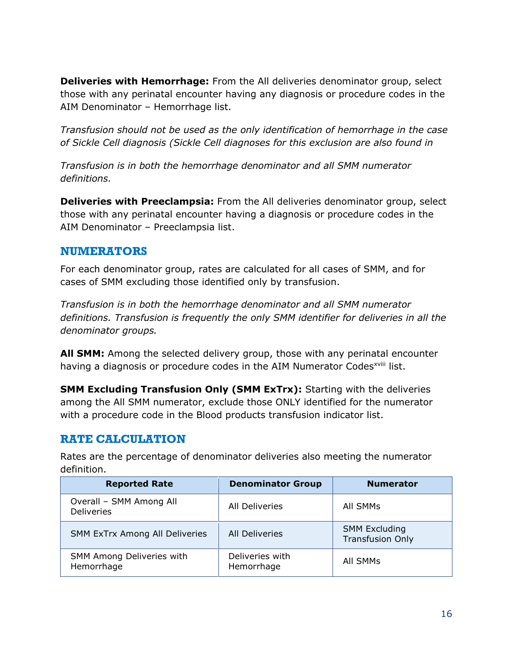**Deliveries with Hemorrhage:** From the All deliveries denominator group, select those with any perinatal encounter having any diagnosis or procedure codes in the AIM Denominator – Hemorrhage list.

*Transfusion should not be used as the only identification of hemorrhage in the case of Sickle Cell diagnosis (Sickle Cell diagnoses for this exclusion are also found in*

*Transfusion is in both the hemorrhage denominator and all SMM numerator definitions.*

**Deliveries with Preeclampsia:** From the All deliveries denominator group, select those with any perinatal encounter having a diagnosis or procedure codes in the AIM Denominator – Preeclampsia list.

#### **NUMERATORS**

For each denominator group, rates are calculated for all cases of SMM, and for cases of SMM excluding those identified only by transfusion.

*Transfusion is in both the hemorrhage denominator and all SMM numerator definitions. Transfusion is frequently the only SMM identifier for deliveries in all the denominator groups.*

**All SMM:** Among the selected delivery group, those with any perinatal encounter having a diagnosis or procedure codes in the AIM Numerator Codes<sup>xviii</sup> list.

**SMM Excluding Transfusion Only (SMM ExTrx):** Starting with the deliveries among the All SMM numerator, exclude those ONLY identified for the numerator with a procedure code in the Blood products transfusion indicator list.

#### **RATE CALCULATION**

Rates are the percentage of denominator deliveries also meeting the numerator definition.

| <b>Reported Rate</b>                         | <b>Denominator Group</b>      | <b>Numerator</b>                                |
|----------------------------------------------|-------------------------------|-------------------------------------------------|
| Overall - SMM Among All<br><b>Deliveries</b> | <b>All Deliveries</b>         | All SMMs                                        |
| <b>SMM ExTrx Among All Deliveries</b>        | <b>All Deliveries</b>         | <b>SMM Excluding</b><br><b>Transfusion Only</b> |
| SMM Among Deliveries with<br>Hemorrhage      | Deliveries with<br>Hemorrhage | All SMMs                                        |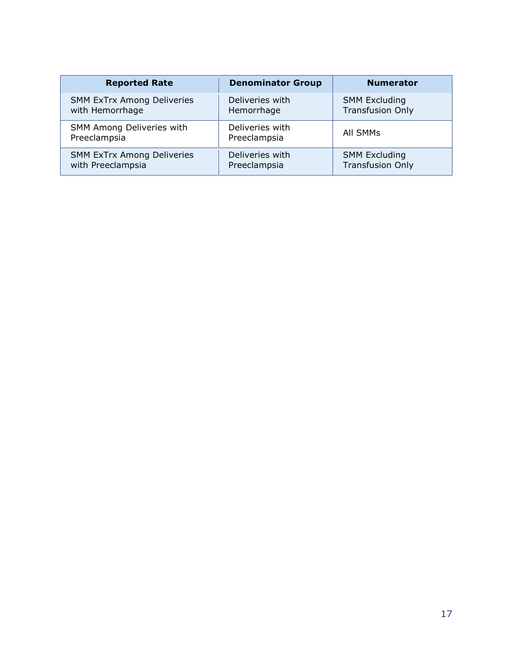| <b>Reported Rate</b>                             | <b>Denominator Group</b>        | <b>Numerator</b>        |
|--------------------------------------------------|---------------------------------|-------------------------|
| <b>SMM ExTrx Among Deliveries</b>                | Deliveries with                 | <b>SMM Excluding</b>    |
| with Hemorrhage                                  | Hemorrhage                      | <b>Transfusion Only</b> |
| <b>SMM Among Deliveries with</b><br>Preeclampsia | Deliveries with<br>Preeclampsia | All SMMs                |
| <b>SMM ExTrx Among Deliveries</b>                | Deliveries with                 | <b>SMM Excluding</b>    |
| with Preeclampsia                                | Preeclampsia                    | <b>Transfusion Only</b> |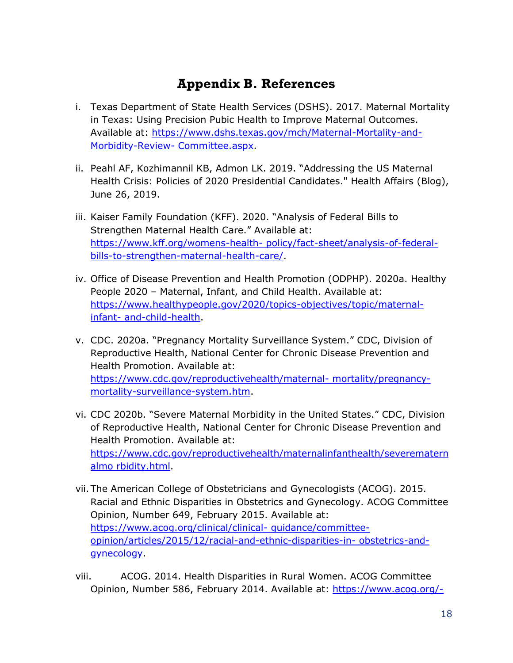## **Appendix B. References**

- <span id="page-19-0"></span>i. Texas Department of State Health Services (DSHS). 2017. Maternal Mortality in Texas: Using Precision Pubic Health to Improve Maternal Outcomes. Available at: [https://www.dshs.texas.gov/mch/Maternal-Mortality-and-](https://www.dshs.texas.gov/mch/Maternal-Mortality-and-Morbidity-Review-Committee.aspx)[Morbidity-Review-](https://www.dshs.texas.gov/mch/Maternal-Mortality-and-Morbidity-Review-Committee.aspx) [Committee.aspx.](https://www.dshs.texas.gov/mch/Maternal-Mortality-and-Morbidity-Review-Committee.aspx)
- ii. Peahl AF, Kozhimannil KB, Admon LK. 2019. "Addressing the US Maternal Health Crisis: Policies of 2020 Presidential Candidates." Health Affairs (Blog), June 26, 2019.
- iii. Kaiser Family Foundation (KFF). 2020. "Analysis of Federal Bills to Strengthen Maternal Health Care." Available at: [https://www.kff.org/womens-health-](https://www.kff.org/womens-health-policy/fact-sheet/analysis-of-federal-bills-to-strengthen-maternal-health-care/) [policy/fact-sheet/analysis-of-federal](https://www.kff.org/womens-health-policy/fact-sheet/analysis-of-federal-bills-to-strengthen-maternal-health-care/)[bills-to-strengthen-maternal-health-care/.](https://www.kff.org/womens-health-policy/fact-sheet/analysis-of-federal-bills-to-strengthen-maternal-health-care/)
- iv. Office of Disease Prevention and Health Promotion (ODPHP). 2020a. Healthy People 2020 – Maternal, Infant, and Child Health. Available at: [https://www.healthypeople.gov/2020/topics-objectives/topic/maternal](https://www.healthypeople.gov/2020/topics-objectives/topic/maternal-infant-and-child-health)[infant-](https://www.healthypeople.gov/2020/topics-objectives/topic/maternal-infant-and-child-health) [and-child-health.](https://www.healthypeople.gov/2020/topics-objectives/topic/maternal-infant-and-child-health)
- v. CDC. 2020a. "Pregnancy Mortality Surveillance System." CDC, Division of Reproductive Health, National Center for Chronic Disease Prevention and Health Promotion. Available at: [https://www.cdc.gov/reproductivehealth/maternal-](https://www.cdc.gov/reproductivehealth/maternal-mortality/pregnancy-mortality-surveillance-system.htm) [mortality/pregnancy](https://www.cdc.gov/reproductivehealth/maternal-mortality/pregnancy-mortality-surveillance-system.htm)[mortality-surveillance-system.htm.](https://www.cdc.gov/reproductivehealth/maternal-mortality/pregnancy-mortality-surveillance-system.htm)
- vi. CDC 2020b. "Severe Maternal Morbidity in the United States." CDC, Division of Reproductive Health, National Center for Chronic Disease Prevention and Health Promotion. Available at: [https://www.cdc.gov/reproductivehealth/maternalinfanthealth/severematern](https://www.cdc.gov/reproductivehealth/maternalinfanthealth/severematernalmorbidity.html) [almo](https://www.cdc.gov/reproductivehealth/maternalinfanthealth/severematernalmorbidity.html) [rbidity.html.](https://www.cdc.gov/reproductivehealth/maternalinfanthealth/severematernalmorbidity.html)
- vii.The American College of Obstetricians and Gynecologists (ACOG). 2015. Racial and Ethnic Disparities in Obstetrics and Gynecology. ACOG Committee Opinion, Number 649, February 2015. Available at: [https://www.acog.org/clinical/clinical-](https://www.acog.org/clinical/clinical-guidance/committee-opinion/articles/2015/12/racial-and-ethnic-disparities-in-obstetrics-and-gynecology) [guidance/committee](https://www.acog.org/clinical/clinical-guidance/committee-opinion/articles/2015/12/racial-and-ethnic-disparities-in-obstetrics-and-gynecology)[opinion/articles/2015/12/racial-and-ethnic-disparities-in-](https://www.acog.org/clinical/clinical-guidance/committee-opinion/articles/2015/12/racial-and-ethnic-disparities-in-obstetrics-and-gynecology) [obstetrics-and](https://www.acog.org/clinical/clinical-guidance/committee-opinion/articles/2015/12/racial-and-ethnic-disparities-in-obstetrics-and-gynecology)[gynecology.](https://www.acog.org/clinical/clinical-guidance/committee-opinion/articles/2015/12/racial-and-ethnic-disparities-in-obstetrics-and-gynecology)
- viii. ACOG. 2014. Health Disparities in Rural Women. ACOG Committee Opinion, Number 586, February 2014. Available at: [https://www.acog.org/-](https://www.acog.org/-/media/project/acog/acogorg/clinical/files/committee-opinion/articles/2014/02/health-disparities-in-rural-women.pdf)